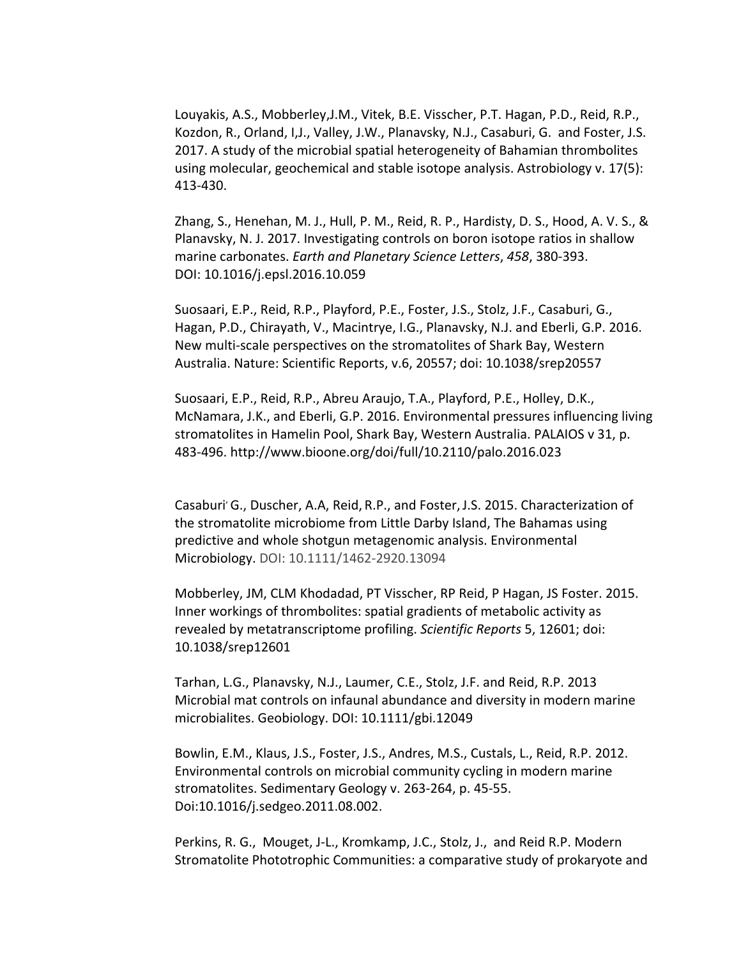Louyakis, A.S., Mobberley, J.M., Vitek, B.E. Visscher, P.T. Hagan, P.D., Reid, R.P., Kozdon, R., Orland, I,J., Valley, J.W., Planavsky, N.J., Casaburi, G. and Foster, J.S. 2017. A study of the microbial spatial heterogeneity of Bahamian thrombolites using molecular, geochemical and stable isotope analysis. Astrobiology  $v. 17(5)$ : 413-430.

Zhang, S., Henehan, M. J., Hull, P. M., Reid, R. P., Hardisty, D. S., Hood, A. V. S., & Planavsky, N. J. 2017. Investigating controls on boron isotope ratios in shallow marine carbonates. *Earth and Planetary Science Letters*, 458, 380-393. DOI: 10.1016/j.epsl.2016.10.059

Suosaari, E.P., Reid, R.P., Playford, P.E., Foster, J.S., Stolz, J.F., Casaburi, G., Hagan, P.D., Chirayath, V., Macintrye, I.G., Planavsky, N.J. and Eberli, G.P. 2016. New multi-scale perspectives on the stromatolites of Shark Bay, Western Australia. Nature: Scientific Reports, v.6, 20557; doi: 10.1038/srep20557

Suosaari, E.P., Reid, R.P., Abreu Araujo, T.A., Playford, P.E., Holley, D.K., McNamara, J.K., and Eberli, G.P. 2016. Environmental pressures influencing living stromatolites in Hamelin Pool, Shark Bay, Western Australia. PALAIOS v 31, p. 483-496. http://www.bioone.org/doi/full/10.2110/palo.2016.023

Casaburi' G., Duscher, A.A, Reid, R.P., and Foster, J.S. 2015. Characterization of the stromatolite microbiome from Little Darby Island, The Bahamas using predictive and whole shotgun metagenomic analysis. Environmental Microbiology. DOI: 10.1111/1462-2920.13094

Mobberley, JM, CLM Khodadad, PT Visscher, RP Reid, P Hagan, JS Foster. 2015. Inner workings of thrombolites: spatial gradients of metabolic activity as revealed by metatranscriptome profiling. *Scientific Reports* 5, 12601; doi: 10.1038/srep12601

Tarhan, L.G., Planavsky, N.J., Laumer, C.E., Stolz, J.F. and Reid, R.P. 2013 Microbial mat controls on infaunal abundance and diversity in modern marine microbialites. Geobiology. DOI: 10.1111/gbi.12049

Bowlin, E.M., Klaus, J.S., Foster, J.S., Andres, M.S., Custals, L., Reid, R.P. 2012. Environmental controls on microbial community cycling in modern marine stromatolites. Sedimentary Geology v. 263-264, p. 45-55. Doi:10.1016/j.sedgeo.2011.08.002.

Perkins, R. G., Mouget, J-L., Kromkamp, J.C., Stolz, J., and Reid R.P. Modern Stromatolite Phototrophic Communities: a comparative study of prokaryote and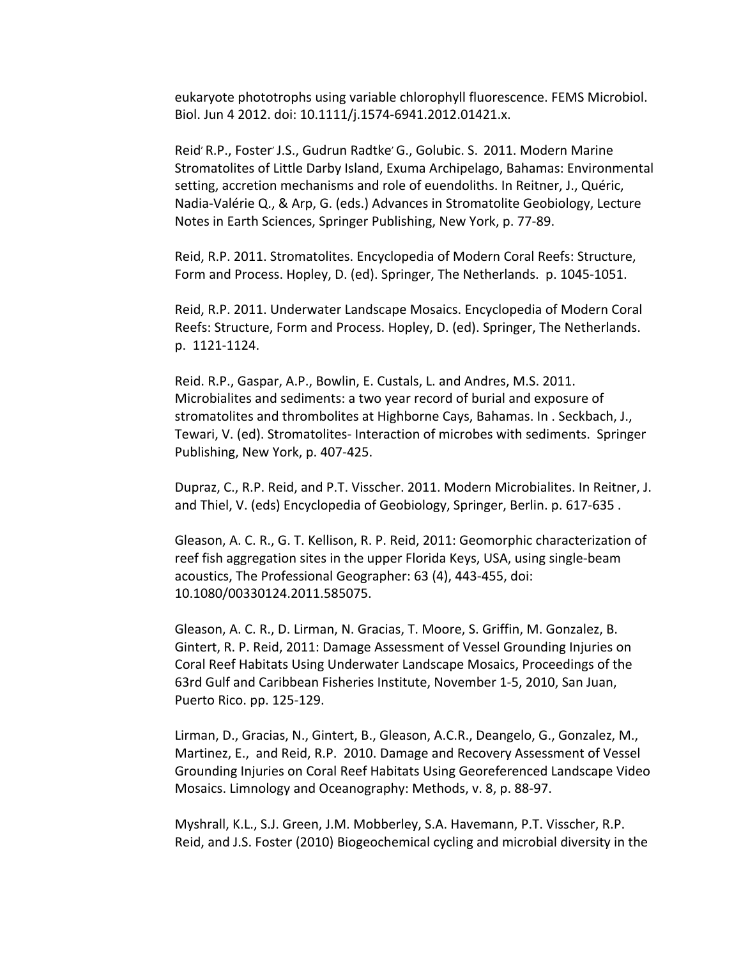eukaryote phototrophs using variable chlorophyll fluorescence. FEMS Microbiol. Biol. Jun 4 2012. doi: 10.1111/j.1574-6941.2012.01421.x.

Reid' R.P., Foster' J.S., Gudrun Radtke' G., Golubic. S. 2011. Modern Marine Stromatolites of Little Darby Island, Exuma Archipelago, Bahamas: Environmental setting, accretion mechanisms and role of euendoliths. In Reitner, J., Quéric, Nadia-Valérie Q., & Arp, G. (eds.) Advances in Stromatolite Geobiology, Lecture Notes in Earth Sciences, Springer Publishing, New York, p. 77-89.

Reid, R.P. 2011. Stromatolites. Encyclopedia of Modern Coral Reefs: Structure, Form and Process. Hopley, D. (ed). Springer, The Netherlands. p. 1045-1051.

Reid, R.P. 2011. Underwater Landscape Mosaics. Encyclopedia of Modern Coral Reefs: Structure, Form and Process. Hopley, D. (ed). Springer, The Netherlands. p. 1121-1124.

Reid. R.P., Gaspar, A.P., Bowlin, E. Custals, L. and Andres, M.S. 2011. Microbialites and sediments: a two year record of burial and exposure of stromatolites and thrombolites at Highborne Cays, Bahamas. In . Seckbach, J., Tewari, V. (ed). Stromatolites- Interaction of microbes with sediments. Springer Publishing, New York, p. 407-425.

Dupraz, C., R.P. Reid, and P.T. Visscher. 2011. Modern Microbialites. In Reitner, J. and Thiel, V. (eds) Encyclopedia of Geobiology, Springer, Berlin. p. 617-635.

Gleason, A. C. R., G. T. Kellison, R. P. Reid, 2011: Geomorphic characterization of reef fish aggregation sites in the upper Florida Keys, USA, using single-beam acoustics, The Professional Geographer: 63 (4), 443-455, doi: 10.1080/00330124.2011.585075.

Gleason, A. C. R., D. Lirman, N. Gracias, T. Moore, S. Griffin, M. Gonzalez, B. Gintert, R. P. Reid, 2011: Damage Assessment of Vessel Grounding Injuries on Coral Reef Habitats Using Underwater Landscape Mosaics, Proceedings of the 63rd Gulf and Caribbean Fisheries Institute, November 1-5, 2010, San Juan, Puerto Rico. pp. 125-129.

Lirman, D., Gracias, N., Gintert, B., Gleason, A.C.R., Deangelo, G., Gonzalez, M., Martinez, E., and Reid, R.P. 2010. Damage and Recovery Assessment of Vessel Grounding Injuries on Coral Reef Habitats Using Georeferenced Landscape Video Mosaics. Limnology and Oceanography: Methods, v. 8, p. 88-97.

Myshrall, K.L., S.J. Green, J.M. Mobberley, S.A. Havemann, P.T. Visscher, R.P. Reid, and J.S. Foster (2010) Biogeochemical cycling and microbial diversity in the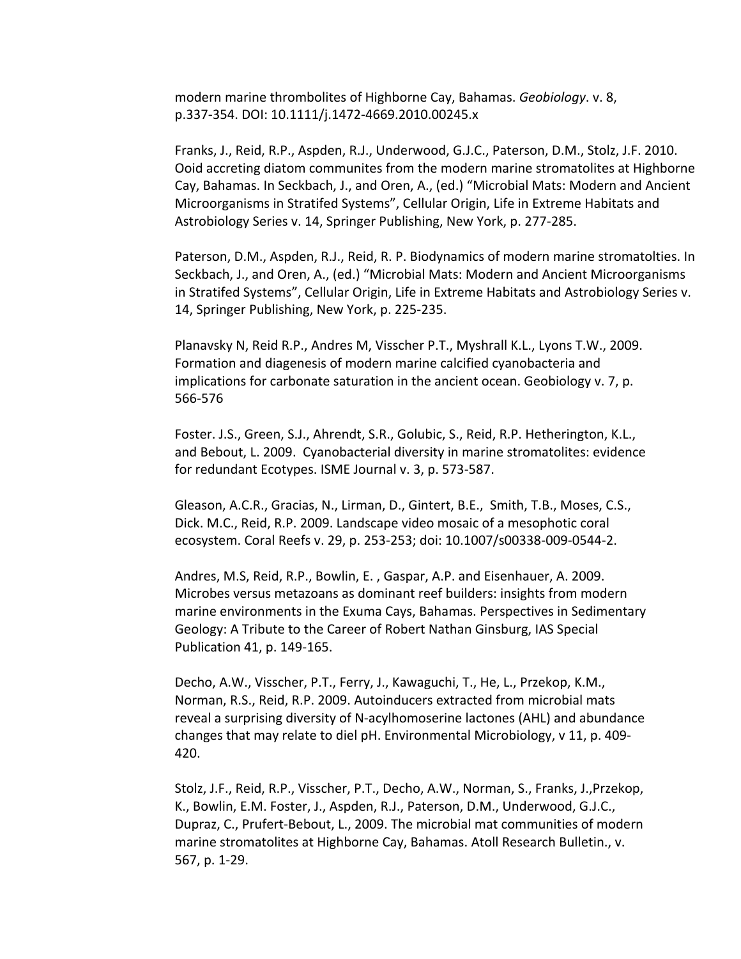modern marine thrombolites of Highborne Cay, Bahamas. *Geobiology*. v. 8, p.337-354. DOI: 10.1111/j.1472-4669.2010.00245.x

Franks, J., Reid, R.P., Aspden, R.J., Underwood, G.J.C., Paterson, D.M., Stolz, J.F. 2010. Ooid accreting diatom communites from the modern marine stromatolites at Highborne Cay, Bahamas. In Seckbach, J., and Oren, A., (ed.) "Microbial Mats: Modern and Ancient Microorganisms in Stratifed Systems", Cellular Origin, Life in Extreme Habitats and Astrobiology Series v. 14, Springer Publishing, New York, p. 277-285.

Paterson, D.M., Aspden, R.J., Reid, R. P. Biodynamics of modern marine stromatolties. In Seckbach, J., and Oren, A., (ed.) "Microbial Mats: Modern and Ancient Microorganisms in Stratifed Systems", Cellular Origin, Life in Extreme Habitats and Astrobiology Series v. 14, Springer Publishing, New York, p. 225-235.

Planavsky N, Reid R.P., Andres M, Visscher P.T., Myshrall K.L., Lyons T.W., 2009. Formation and diagenesis of modern marine calcified cyanobacteria and implications for carbonate saturation in the ancient ocean. Geobiology  $v. 7$ , p. 566-576

Foster. J.S., Green, S.J., Ahrendt, S.R., Golubic, S., Reid, R.P. Hetherington, K.L., and Bebout, L. 2009. Cyanobacterial diversity in marine stromatolites: evidence for redundant Ecotypes. ISME Journal v. 3, p. 573-587.

Gleason, A.C.R., Gracias, N., Lirman, D., Gintert, B.E., Smith, T.B., Moses, C.S., Dick. M.C., Reid, R.P. 2009. Landscape video mosaic of a mesophotic coral ecosystem. Coral Reefs v. 29, p. 253-253; doi: 10.1007/s00338-009-0544-2.

Andres, M.S, Reid, R.P., Bowlin, E., Gaspar, A.P. and Eisenhauer, A. 2009. Microbes versus metazoans as dominant reef builders: insights from modern marine environments in the Exuma Cays, Bahamas. Perspectives in Sedimentary Geology: A Tribute to the Career of Robert Nathan Ginsburg, IAS Special Publication 41, p. 149-165.

Decho, A.W., Visscher, P.T., Ferry, J., Kawaguchi, T., He, L., Przekop, K.M., Norman, R.S., Reid, R.P. 2009. Autoinducers extracted from microbial mats reveal a surprising diversity of N-acylhomoserine lactones (AHL) and abundance changes that may relate to diel pH. Environmental Microbiology,  $v$  11, p. 409-420.

Stolz, J.F., Reid, R.P., Visscher, P.T., Decho, A.W., Norman, S., Franks, J., Przekop, K., Bowlin, E.M. Foster, J., Aspden, R.J., Paterson, D.M., Underwood, G.J.C., Dupraz, C., Prufert-Bebout, L., 2009. The microbial mat communities of modern marine stromatolites at Highborne Cay, Bahamas. Atoll Research Bulletin., v. 567, p. 1-29.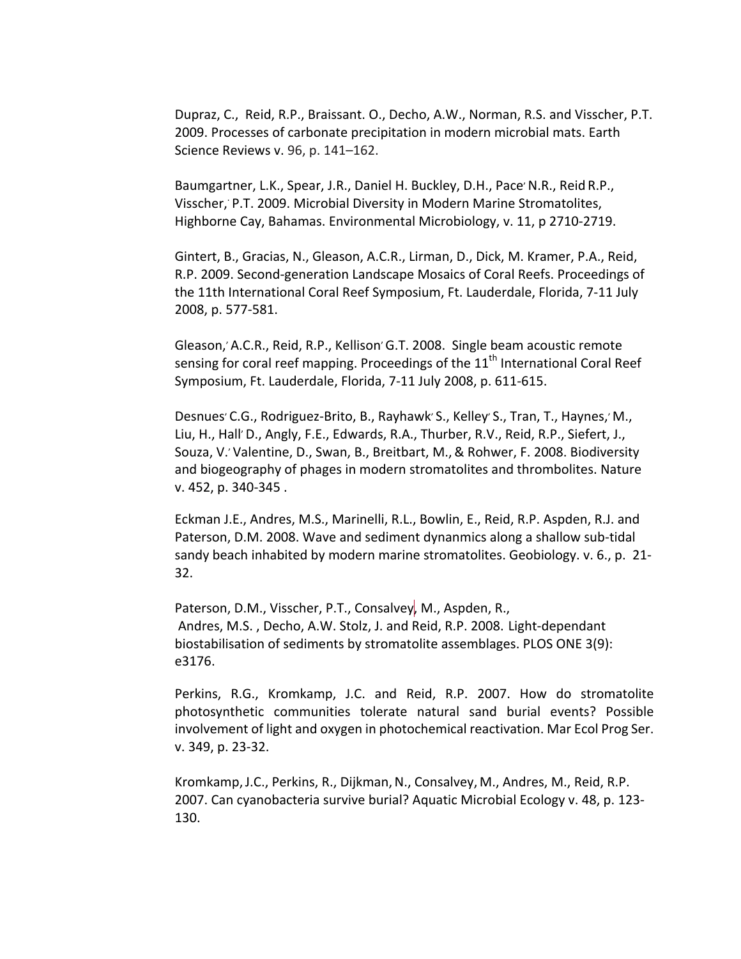Dupraz, C., Reid, R.P., Braissant. O., Decho, A.W., Norman, R.S. and Visscher, P.T. 2009. Processes of carbonate precipitation in modern microbial mats. Earth Science Reviews v. 96, p. 141–162.

Baumgartner, L.K., Spear, J.R., Daniel H. Buckley, D.H., Pace' N.R., Reid R.P., Visscher, P.T. 2009. Microbial Diversity in Modern Marine Stromatolites, Highborne Cay, Bahamas. Environmental Microbiology, v. 11, p 2710-2719.

Gintert, B., Gracias, N., Gleason, A.C.R., Lirman, D., Dick, M. Kramer, P.A., Reid, R.P. 2009. Second-generation Landscape Mosaics of Coral Reefs. Proceedings of the 11th International Coral Reef Symposium, Ft. Lauderdale, Florida, 7-11 July 2008, p. 577-581.

Gleason,' A.C.R., Reid, R.P., Kellison' G.T. 2008. Single beam acoustic remote sensing for coral reef mapping. Proceedings of the  $11<sup>th</sup>$  International Coral Reef Symposium, Ft. Lauderdale, Florida, 7-11 July 2008, p. 611-615.

Desnues' C.G., Rodriguez-Brito, B., Rayhawk' S., Kelley' S., Tran, T., Haynes,' M., Liu, H., Hall' D., Angly, F.E., Edwards, R.A., Thurber, R.V., Reid, R.P., Siefert, J., Souza, V. Valentine, D., Swan, B., Breitbart, M., & Rohwer, F. 2008. Biodiversity and biogeography of phages in modern stromatolites and thrombolites. Nature v. 452, p. 340-345.

Eckman J.E., Andres, M.S., Marinelli, R.L., Bowlin, E., Reid, R.P. Aspden, R.J. and Paterson, D.M. 2008. Wave and sediment dynanmics along a shallow sub-tidal sandy beach inhabited by modern marine stromatolites. Geobiology. v. 6., p. 21-32.

Paterson, D.M., Visscher, P.T., Consalvey, M., Aspden, R., Andres, M.S., Decho, A.W. Stolz, J. and Reid, R.P. 2008. Light-dependant biostabilisation of sediments by stromatolite assemblages. PLOS ONE 3(9): e3176. 

Perkins, R.G., Kromkamp, J.C. and Reid, R.P. 2007. How do stromatolite photosynthetic communities tolerate natural sand burial events? Possible involvement of light and oxygen in photochemical reactivation. Mar Ecol Prog Ser. v. 349, p. 23-32.

Kromkamp, J.C., Perkins, R., Dijkman, N., Consalvey, M., Andres, M., Reid, R.P. 2007. Can cyanobacteria survive burial? Aquatic Microbial Ecology v. 48, p. 123-130.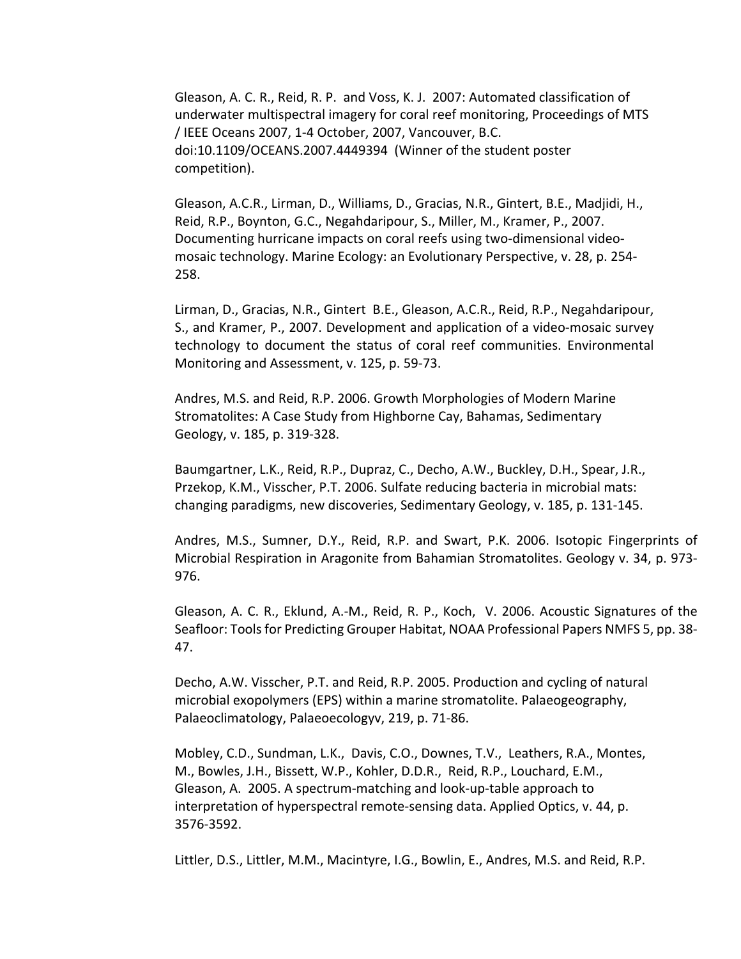Gleason, A. C. R., Reid, R. P. and Voss, K. J. 2007: Automated classification of underwater multispectral imagery for coral reef monitoring, Proceedings of MTS / IEEE Oceans 2007, 1-4 October, 2007, Vancouver, B.C. doi:10.1109/OCEANS.2007.4449394 (Winner of the student poster competition).

Gleason, A.C.R., Lirman, D., Williams, D., Gracias, N.R., Gintert, B.E., Madjidi, H., Reid, R.P., Boynton, G.C., Negahdaripour, S., Miller, M., Kramer, P., 2007. Documenting hurricane impacts on coral reefs using two-dimensional videomosaic technology. Marine Ecology: an Evolutionary Perspective, v. 28, p. 254-258.

Lirman, D., Gracias, N.R., Gintert B.E., Gleason, A.C.R., Reid, R.P., Negahdaripour, S., and Kramer, P., 2007. Development and application of a video-mosaic survey technology to document the status of coral reef communities. Environmental Monitoring and Assessment, v. 125, p. 59-73.

Andres, M.S. and Reid, R.P. 2006. Growth Morphologies of Modern Marine Stromatolites: A Case Study from Highborne Cay, Bahamas, Sedimentary Geology, v. 185, p. 319-328.

Baumgartner, L.K., Reid, R.P., Dupraz, C., Decho, A.W., Buckley, D.H., Spear, J.R., Przekop, K.M., Visscher, P.T. 2006. Sulfate reducing bacteria in microbial mats: changing paradigms, new discoveries, Sedimentary Geology, v. 185, p. 131-145.

Andres, M.S., Sumner, D.Y., Reid, R.P. and Swart, P.K. 2006. Isotopic Fingerprints of Microbial Respiration in Aragonite from Bahamian Stromatolites. Geology v. 34, p. 973-976.

Gleason, A. C. R., Eklund, A.-M., Reid, R. P., Koch, V. 2006. Acoustic Signatures of the Seafloor: Tools for Predicting Grouper Habitat, NOAA Professional Papers NMFS 5, pp. 38-47.

Decho, A.W. Visscher, P.T. and Reid, R.P. 2005. Production and cycling of natural microbial exopolymers (EPS) within a marine stromatolite. Palaeogeography, Palaeoclimatology, Palaeoecologyv, 219, p. 71-86.

Mobley, C.D., Sundman, L.K., Davis, C.O., Downes, T.V., Leathers, R.A., Montes, M., Bowles, J.H., Bissett, W.P., Kohler, D.D.R., Reid, R.P., Louchard, E.M., Gleason, A. 2005. A spectrum-matching and look-up-table approach to interpretation of hyperspectral remote-sensing data. Applied Optics, v. 44, p. 3576-3592.

Littler, D.S., Littler, M.M., Macintyre, I.G., Bowlin, E., Andres, M.S. and Reid, R.P.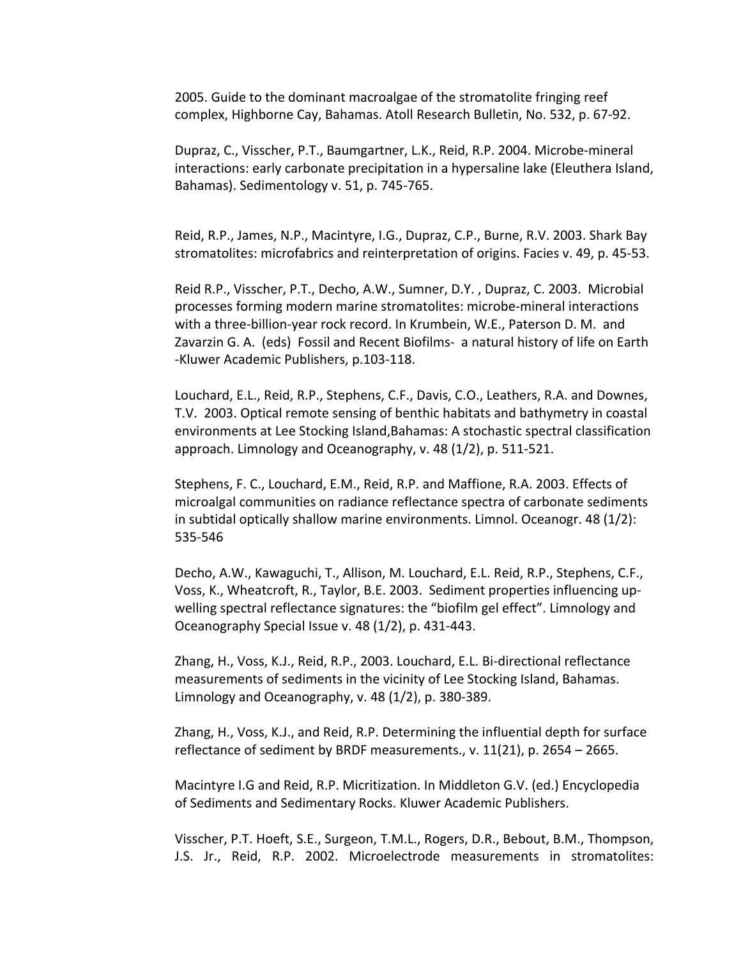2005. Guide to the dominant macroalgae of the stromatolite fringing reef complex, Highborne Cay, Bahamas. Atoll Research Bulletin, No. 532, p. 67-92.

Dupraz, C., Visscher, P.T., Baumgartner, L.K., Reid, R.P. 2004. Microbe-mineral interactions: early carbonate precipitation in a hypersaline lake (Eleuthera Island, Bahamas). Sedimentology v. 51, p. 745-765.

Reid, R.P., James, N.P., Macintyre, I.G., Dupraz, C.P., Burne, R.V. 2003. Shark Bay stromatolites: microfabrics and reinterpretation of origins. Facies v. 49, p. 45-53.

Reid R.P., Visscher, P.T., Decho, A.W., Sumner, D.Y., Dupraz, C. 2003. Microbial processes forming modern marine stromatolites: microbe-mineral interactions with a three-billion-year rock record. In Krumbein, W.E., Paterson D. M. and Zavarzin G. A. (eds) Fossil and Recent Biofilms- a natural history of life on Earth -Kluwer Academic Publishers, p.103-118.

Louchard, E.L., Reid, R.P., Stephens, C.F., Davis, C.O., Leathers, R.A. and Downes, T.V. 2003. Optical remote sensing of benthic habitats and bathymetry in coastal environments at Lee Stocking Island, Bahamas: A stochastic spectral classification approach. Limnology and Oceanography, v. 48 (1/2), p. 511-521.

Stephens, F. C., Louchard, E.M., Reid, R.P. and Maffione, R.A. 2003. Effects of microalgal communities on radiance reflectance spectra of carbonate sediments in subtidal optically shallow marine environments. Limnol. Oceanogr.  $48(1/2)$ : 535-546

Decho, A.W., Kawaguchi, T., Allison, M. Louchard, E.L. Reid, R.P., Stephens, C.F., Voss, K., Wheatcroft, R., Taylor, B.E. 2003. Sediment properties influencing upwelling spectral reflectance signatures: the "biofilm gel effect". Limnology and Oceanography Special Issue v.  $48(1/2)$ , p.  $431-443$ .

Zhang, H., Voss, K.J., Reid, R.P., 2003. Louchard, E.L. Bi-directional reflectance measurements of sediments in the vicinity of Lee Stocking Island, Bahamas. Limnology and Oceanography, v.  $48(1/2)$ , p. 380-389.

Zhang, H., Voss, K.J., and Reid, R.P. Determining the influential depth for surface reflectance of sediment by BRDF measurements., v. 11(21), p. 2654 – 2665.

Macintyre I.G and Reid, R.P. Micritization. In Middleton G.V. (ed.) Encyclopedia of Sediments and Sedimentary Rocks. Kluwer Academic Publishers.

Visscher, P.T. Hoeft, S.E., Surgeon, T.M.L., Rogers, D.R., Bebout, B.M., Thompson, J.S. Jr., Reid, R.P. 2002. Microelectrode measurements in stromatolites: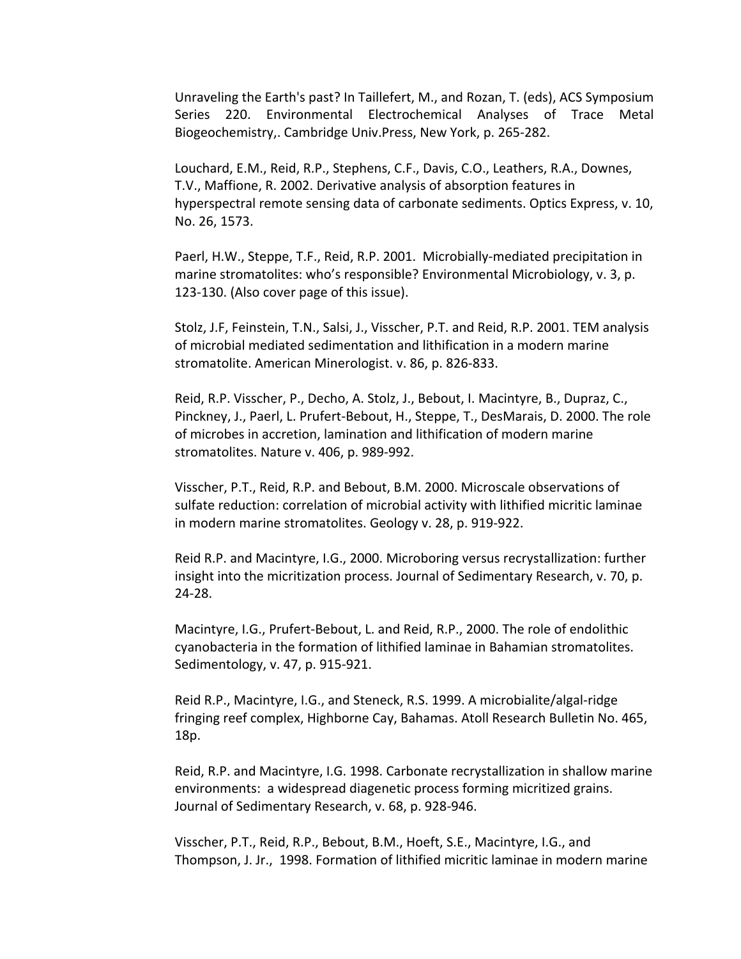Unraveling the Earth's past? In Taillefert, M., and Rozan, T. (eds), ACS Symposium Series 220. Environmental Electrochemical Analyses of Trace Metal Biogeochemistry,. Cambridge Univ.Press, New York, p. 265-282.

Louchard, E.M., Reid, R.P., Stephens, C.F., Davis, C.O., Leathers, R.A., Downes, T.V., Maffione, R. 2002. Derivative analysis of absorption features in hyperspectral remote sensing data of carbonate sediments. Optics Express, v. 10, No. 26, 1573.

Paerl, H.W., Steppe, T.F., Reid, R.P. 2001. Microbially-mediated precipitation in marine stromatolites: who's responsible? Environmental Microbiology, v. 3, p. 123-130. (Also cover page of this issue).

Stolz, J.F, Feinstein, T.N., Salsi, J., Visscher, P.T. and Reid, R.P. 2001. TEM analysis of microbial mediated sedimentation and lithification in a modern marine stromatolite. American Minerologist. v. 86, p. 826-833.

Reid, R.P. Visscher, P., Decho, A. Stolz, J., Bebout, I. Macintyre, B., Dupraz, C., Pinckney, J., Paerl, L. Prufert-Bebout, H., Steppe, T., DesMarais, D. 2000. The role of microbes in accretion, lamination and lithification of modern marine stromatolites. Nature v. 406, p. 989-992.

Visscher, P.T., Reid, R.P. and Bebout, B.M. 2000. Microscale observations of sulfate reduction: correlation of microbial activity with lithified micritic laminae in modern marine stromatolites. Geology v. 28, p. 919-922.

Reid R.P. and Macintyre, I.G., 2000. Microboring versus recrystallization: further insight into the micritization process. Journal of Sedimentary Research, v. 70, p. 24-28.

Macintyre, I.G., Prufert-Bebout, L. and Reid, R.P., 2000. The role of endolithic cyanobacteria in the formation of lithified laminae in Bahamian stromatolites. Sedimentology, v. 47, p. 915-921.

Reid R.P., Macintyre, I.G., and Steneck, R.S. 1999. A microbialite/algal-ridge fringing reef complex, Highborne Cay, Bahamas. Atoll Research Bulletin No. 465, 18p.

Reid, R.P. and Macintyre, I.G. 1998. Carbonate recrystallization in shallow marine environments: a widespread diagenetic process forming micritized grains. Journal of Sedimentary Research, v. 68, p. 928-946.

Visscher, P.T., Reid, R.P., Bebout, B.M., Hoeft, S.E., Macintyre, I.G., and Thompson, J. Jr., 1998. Formation of lithified micritic laminae in modern marine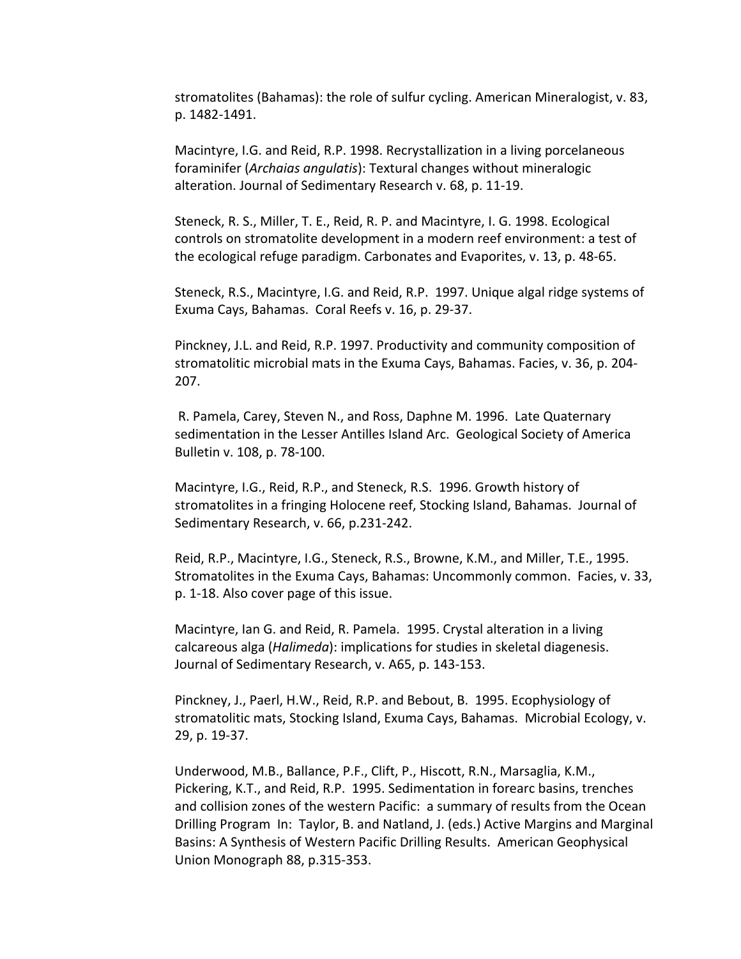stromatolites (Bahamas): the role of sulfur cycling. American Mineralogist, v. 83, p. 1482-1491.

Macintyre, I.G. and Reid, R.P. 1998. Recrystallization in a living porcelaneous foraminifer (*Archaias angulatis*): Textural changes without mineralogic alteration. Journal of Sedimentary Research v. 68, p. 11-19.

Steneck, R. S., Miller, T. E., Reid, R. P. and Macintyre, I. G. 1998. Ecological controls on stromatolite development in a modern reef environment: a test of the ecological refuge paradigm. Carbonates and Evaporites, v. 13, p. 48-65.

Steneck, R.S., Macintyre, I.G. and Reid, R.P. 1997. Unique algal ridge systems of Exuma Cays, Bahamas. Coral Reefs v. 16, p. 29-37.

Pinckney, J.L. and Reid, R.P. 1997. Productivity and community composition of stromatolitic microbial mats in the Exuma Cays, Bahamas. Facies, v. 36, p. 204-207.

R. Pamela, Carey, Steven N., and Ross, Daphne M. 1996. Late Quaternary sedimentation in the Lesser Antilles Island Arc. Geological Society of America Bulletin v. 108, p. 78-100.

Macintyre, I.G., Reid, R.P., and Steneck, R.S. 1996. Growth history of stromatolites in a fringing Holocene reef, Stocking Island, Bahamas. Journal of Sedimentary Research, v. 66, p.231-242.

Reid, R.P., Macintyre, I.G., Steneck, R.S., Browne, K.M., and Miller, T.E., 1995. Stromatolites in the Exuma Cays, Bahamas: Uncommonly common. Facies, v. 33, p. 1-18. Also cover page of this issue.

Macintyre, Ian G. and Reid, R. Pamela. 1995. Crystal alteration in a living calcareous alga (*Halimeda*): implications for studies in skeletal diagenesis. Journal of Sedimentary Research, v. A65, p. 143-153.

Pinckney, J., Paerl, H.W., Reid, R.P. and Bebout, B. 1995. Ecophysiology of stromatolitic mats, Stocking Island, Exuma Cays, Bahamas. Microbial Ecology, v. 29, p. 19-37.

Underwood, M.B., Ballance, P.F., Clift, P., Hiscott, R.N., Marsaglia, K.M., Pickering, K.T., and Reid, R.P. 1995. Sedimentation in forearc basins, trenches and collision zones of the western Pacific: a summary of results from the Ocean Drilling Program In: Taylor, B. and Natland, J. (eds.) Active Margins and Marginal Basins: A Synthesis of Western Pacific Drilling Results. American Geophysical Union Monograph 88, p.315-353.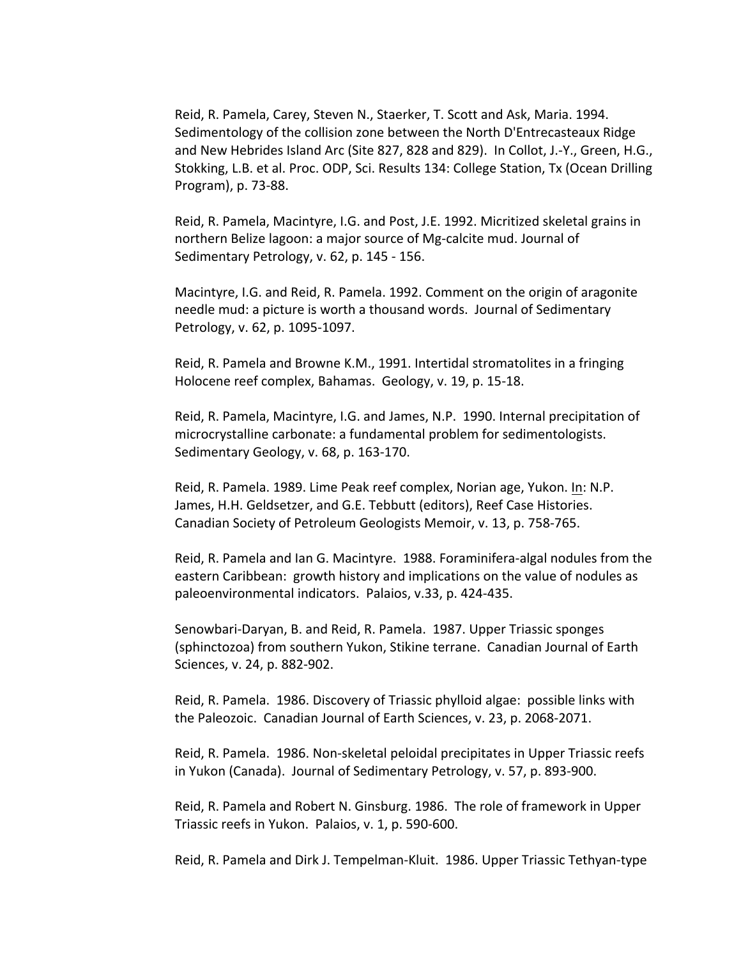Reid, R. Pamela, Carey, Steven N., Staerker, T. Scott and Ask, Maria. 1994. Sedimentology of the collision zone between the North D'Entrecasteaux Ridge and New Hebrides Island Arc (Site 827, 828 and 829). In Collot, J.-Y., Green, H.G., Stokking, L.B. et al. Proc. ODP, Sci. Results 134: College Station, Tx (Ocean Drilling Program), p. 73-88.

Reid, R. Pamela, Macintyre, I.G. and Post, J.E. 1992. Micritized skeletal grains in northern Belize lagoon: a major source of Mg-calcite mud. Journal of Sedimentary Petrology, v. 62, p. 145 - 156.

Macintyre, I.G. and Reid, R. Pamela. 1992. Comment on the origin of aragonite needle mud: a picture is worth a thousand words. Journal of Sedimentary Petrology, v. 62, p. 1095-1097.

Reid, R. Pamela and Browne K.M., 1991. Intertidal stromatolites in a fringing Holocene reef complex, Bahamas. Geology, v. 19, p. 15-18.

Reid, R. Pamela, Macintyre, I.G. and James, N.P. 1990. Internal precipitation of microcrystalline carbonate: a fundamental problem for sedimentologists. Sedimentary Geology, v. 68, p. 163-170.

Reid, R. Pamela. 1989. Lime Peak reef complex, Norian age, Yukon. In: N.P. James, H.H. Geldsetzer, and G.E. Tebbutt (editors), Reef Case Histories. Canadian Society of Petroleum Geologists Memoir, v. 13, p. 758-765.

Reid, R. Pamela and lan G. Macintyre. 1988. Foraminifera-algal nodules from the eastern Caribbean: growth history and implications on the value of nodules as paleoenvironmental indicators. Palaios, v.33, p. 424-435.

Senowbari-Daryan, B. and Reid, R. Pamela. 1987. Upper Triassic sponges (sphinctozoa) from southern Yukon, Stikine terrane. Canadian Journal of Earth Sciences, v. 24, p. 882-902.

Reid, R. Pamela. 1986. Discovery of Triassic phylloid algae: possible links with the Paleozoic. Canadian Journal of Earth Sciences, v. 23, p. 2068-2071.

Reid, R. Pamela. 1986. Non-skeletal peloidal precipitates in Upper Triassic reefs in Yukon (Canada). Journal of Sedimentary Petrology, v. 57, p. 893-900.

Reid, R. Pamela and Robert N. Ginsburg. 1986. The role of framework in Upper Triassic reefs in Yukon. Palaios, v. 1, p. 590-600.

Reid, R. Pamela and Dirk J. Tempelman-Kluit. 1986. Upper Triassic Tethyan-type